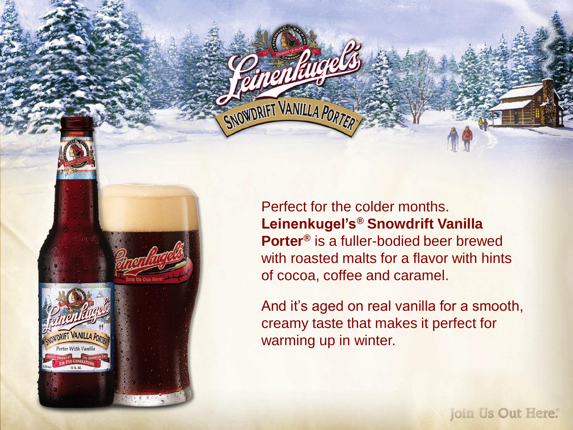Perfect for the colder months. **Leinenkugel's® Snowdrift Vanilla Porter®** is a fuller-bodied beer brewed with roasted malts for a flavor with hints of cocoa, coffee and caramel.

SNOWDRIFT VANILLA PORTE

DRIFT VANILLA PO orter With Va

And it's aged on real vanilla for a smooth, creamy taste that makes it perfect for warming up in winter.

**Join Us Out Here.**